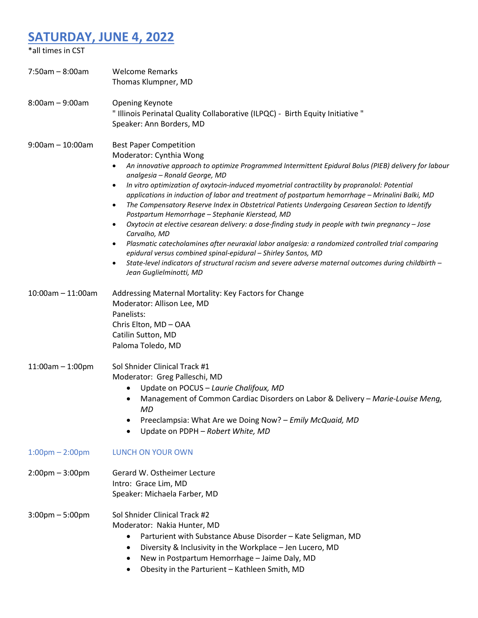## **SATURDAY, JUNE 4, 2022**

| *all times in CST                 |                                                                                                                                                                                                                                                                                                                                                                                                                                                                                                                                                                                                                                                                                                                                                                                                                                                                                                                                                                                                                                  |
|-----------------------------------|----------------------------------------------------------------------------------------------------------------------------------------------------------------------------------------------------------------------------------------------------------------------------------------------------------------------------------------------------------------------------------------------------------------------------------------------------------------------------------------------------------------------------------------------------------------------------------------------------------------------------------------------------------------------------------------------------------------------------------------------------------------------------------------------------------------------------------------------------------------------------------------------------------------------------------------------------------------------------------------------------------------------------------|
| $7:50am - 8:00am$                 | <b>Welcome Remarks</b><br>Thomas Klumpner, MD                                                                                                                                                                                                                                                                                                                                                                                                                                                                                                                                                                                                                                                                                                                                                                                                                                                                                                                                                                                    |
| $8:00am - 9:00am$                 | <b>Opening Keynote</b><br>" Illinois Perinatal Quality Collaborative (ILPQC) - Birth Equity Initiative "<br>Speaker: Ann Borders, MD                                                                                                                                                                                                                                                                                                                                                                                                                                                                                                                                                                                                                                                                                                                                                                                                                                                                                             |
| $9:00$ am $-10:00$ am             | <b>Best Paper Competition</b><br>Moderator: Cynthia Wong<br>An innovative approach to optimize Programmed Intermittent Epidural Bolus (PIEB) delivery for labour<br>analgesia - Ronald George, MD<br>In vitro optimization of oxytocin-induced myometrial contractility by propranolol: Potential<br>٠<br>applications in induction of labor and treatment of postpartum hemorrhage - Mrinalini Balki, MD<br>The Compensatory Reserve Index in Obstetrical Patients Undergoing Cesarean Section to Identify<br>$\bullet$<br>Postpartum Hemorrhage - Stephanie Kierstead, MD<br>Oxytocin at elective cesarean delivery: a dose-finding study in people with twin pregnancy - Jose<br>$\bullet$<br>Carvalho, MD<br>Plasmatic catecholamines after neuraxial labor analgesia: a randomized controlled trial comparing<br>٠<br>epidural versus combined spinal-epidural - Shirley Santos, MD<br>State-level indicators of structural racism and severe adverse maternal outcomes during childbirth -<br>٠<br>Jean Guglielminotti, MD |
| $10:00$ am $- 11:00$ am           | Addressing Maternal Mortality: Key Factors for Change<br>Moderator: Allison Lee, MD<br>Panelists:<br>Chris Elton, MD-OAA<br>Catilin Sutton, MD<br>Paloma Toledo, MD                                                                                                                                                                                                                                                                                                                                                                                                                                                                                                                                                                                                                                                                                                                                                                                                                                                              |
| $11:00am - 1:00pm$                | Sol Shnider Clinical Track #1<br>Moderator: Greg Palleschi, MD<br>Update on POCUS - Laurie Chalifoux, MD<br>Management of Common Cardiac Disorders on Labor & Delivery - Marie-Louise Meng,<br>MD<br>Preeclampsia: What Are we Doing Now? - Emily McQuaid, MD<br>Update on PDPH - Robert White, MD<br>$\bullet$                                                                                                                                                                                                                                                                                                                                                                                                                                                                                                                                                                                                                                                                                                                  |
| $1:00 \text{pm} - 2:00 \text{pm}$ | <b>LUNCH ON YOUR OWN</b>                                                                                                                                                                                                                                                                                                                                                                                                                                                                                                                                                                                                                                                                                                                                                                                                                                                                                                                                                                                                         |
| $2:00 \text{pm} - 3:00 \text{pm}$ | Gerard W. Ostheimer Lecture<br>Intro: Grace Lim, MD<br>Speaker: Michaela Farber, MD                                                                                                                                                                                                                                                                                                                                                                                                                                                                                                                                                                                                                                                                                                                                                                                                                                                                                                                                              |
| $3:00 \text{pm} - 5:00 \text{pm}$ | Sol Shnider Clinical Track #2<br>Moderator: Nakia Hunter, MD<br>Parturient with Substance Abuse Disorder - Kate Seligman, MD<br>Diversity & Inclusivity in the Workplace - Jen Lucero, MD<br>٠<br>New in Postpartum Hemorrhage - Jaime Daly, MD<br>Obesity in the Parturient - Kathleen Smith, MD                                                                                                                                                                                                                                                                                                                                                                                                                                                                                                                                                                                                                                                                                                                                |